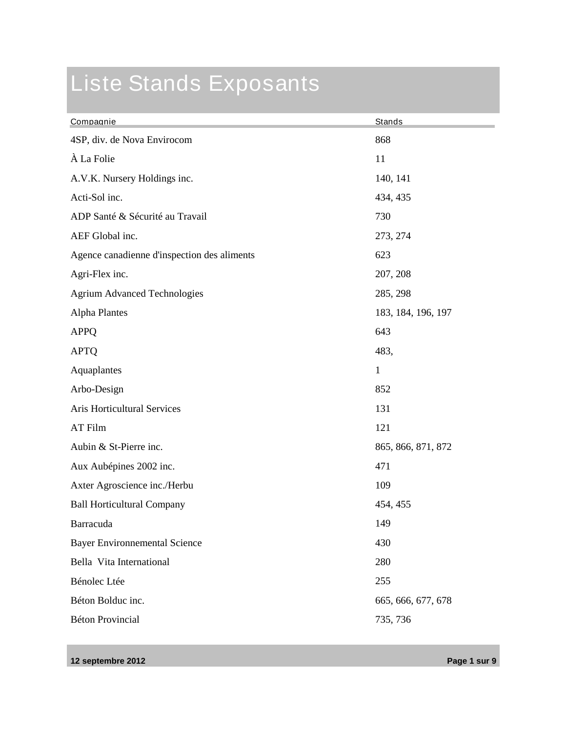## Liste Stands Exposants

| Compagnie                                   | Stands             |
|---------------------------------------------|--------------------|
| 4SP, div. de Nova Envirocom                 | 868                |
| À La Folie                                  | 11                 |
| A.V.K. Nursery Holdings inc.                | 140, 141           |
| Acti-Sol inc.                               | 434, 435           |
| ADP Santé & Sécurité au Travail             | 730                |
| AEF Global inc.                             | 273, 274           |
| Agence canadienne d'inspection des aliments | 623                |
| Agri-Flex inc.                              | 207, 208           |
| <b>Agrium Advanced Technologies</b>         | 285, 298           |
| <b>Alpha Plantes</b>                        | 183, 184, 196, 197 |
| <b>APPQ</b>                                 | 643                |
| <b>APTQ</b>                                 | 483,               |
| Aquaplantes                                 | $\mathbf{1}$       |
| Arbo-Design                                 | 852                |
| Aris Horticultural Services                 | 131                |
| <b>AT Film</b>                              | 121                |
| Aubin & St-Pierre inc.                      | 865, 866, 871, 872 |
| Aux Aubépines 2002 inc.                     | 471                |
| Axter Agroscience inc./Herbu                | 109                |
| <b>Ball Horticultural Company</b>           | 454, 455           |
| Barracuda                                   | 149                |
| <b>Bayer Environnemental Science</b>        | 430                |
| Bella Vita International                    | 280                |
| Bénolec Ltée                                | 255                |
| Béton Bolduc inc.                           | 665, 666, 677, 678 |
| <b>Béton Provincial</b>                     | 735, 736           |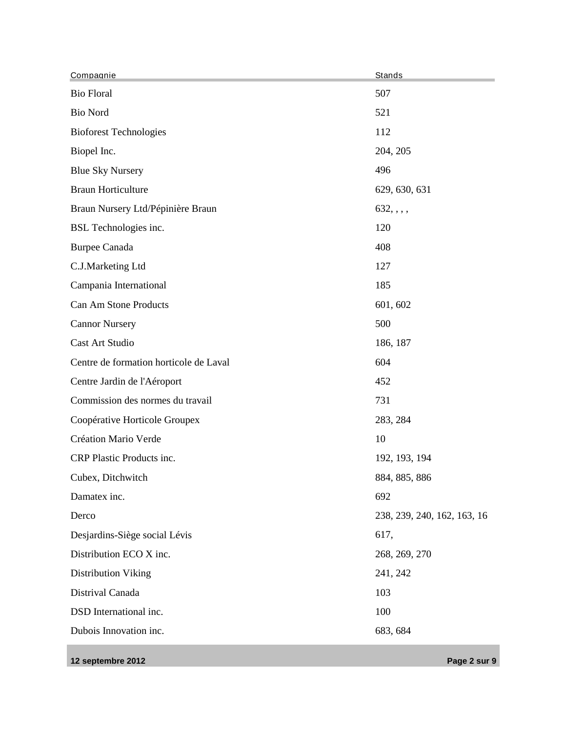| Compagnie                              | Stands                      |
|----------------------------------------|-----------------------------|
| <b>Bio Floral</b>                      | 507                         |
| <b>Bio Nord</b>                        | 521                         |
| <b>Bioforest Technologies</b>          | 112                         |
| Biopel Inc.                            | 204, 205                    |
| <b>Blue Sky Nursery</b>                | 496                         |
| <b>Braun Horticulture</b>              | 629, 630, 631               |
| Braun Nursery Ltd/Pépinière Braun      | 632, , , ,                  |
| BSL Technologies inc.                  | 120                         |
| <b>Burpee Canada</b>                   | 408                         |
| C.J.Marketing Ltd                      | 127                         |
| Campania International                 | 185                         |
| Can Am Stone Products                  | 601, 602                    |
| <b>Cannor Nursery</b>                  | 500                         |
| Cast Art Studio                        | 186, 187                    |
| Centre de formation horticole de Laval | 604                         |
| Centre Jardin de l'Aéroport            | 452                         |
| Commission des normes du travail       | 731                         |
| Coopérative Horticole Groupex          | 283, 284                    |
| Création Mario Verde                   | 10                          |
| CRP Plastic Products inc.              | 192, 193, 194               |
| Cubex, Ditchwitch                      | 884, 885, 886               |
| Damatex inc.                           | 692                         |
| Derco                                  | 238, 239, 240, 162, 163, 16 |
| Desjardins-Siège social Lévis          | 617,                        |
| Distribution ECO X inc.                | 268, 269, 270               |
| <b>Distribution Viking</b>             | 241, 242                    |
| Distrival Canada                       | 103                         |
| DSD International inc.                 | 100                         |
| Dubois Innovation inc.                 | 683, 684                    |

**12 septembre 2012 Page 2 sur 9**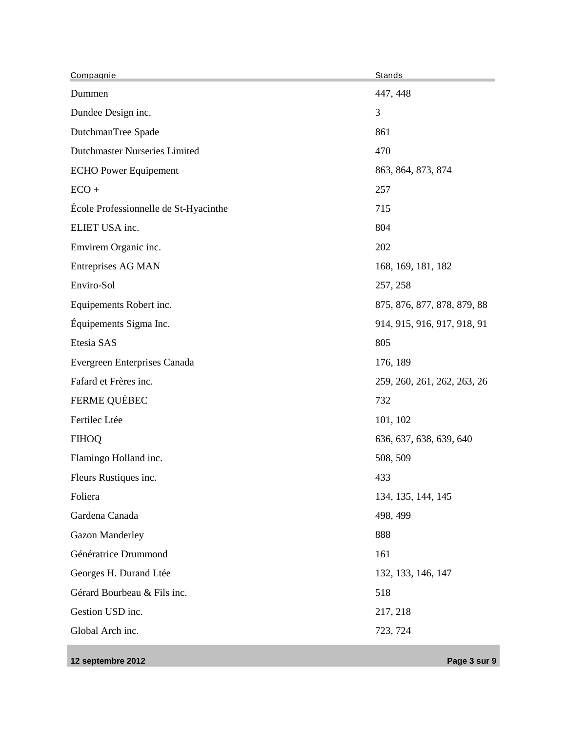| Compagnie                             | Stands                      |
|---------------------------------------|-----------------------------|
| Dummen                                | 447, 448                    |
| Dundee Design inc.                    | 3                           |
| DutchmanTree Spade                    | 861                         |
| <b>Dutchmaster Nurseries Limited</b>  | 470                         |
| <b>ECHO Power Equipement</b>          | 863, 864, 873, 874          |
| $ECO +$                               | 257                         |
| École Professionnelle de St-Hyacinthe | 715                         |
| ELIET USA inc.                        | 804                         |
| Emvirem Organic inc.                  | 202                         |
| <b>Entreprises AG MAN</b>             | 168, 169, 181, 182          |
| Enviro-Sol                            | 257, 258                    |
| Equipements Robert inc.               | 875, 876, 877, 878, 879, 88 |
| Équipements Sigma Inc.                | 914, 915, 916, 917, 918, 91 |
| Etesia SAS                            | 805                         |
| Evergreen Enterprises Canada          | 176, 189                    |
| Fafard et Frères inc.                 | 259, 260, 261, 262, 263, 26 |
| <b>FERME QUÉBEC</b>                   | 732                         |
| Fertilec Ltée                         | 101, 102                    |
| <b>FIHOQ</b>                          | 636, 637, 638, 639, 640     |
| Flamingo Holland inc.                 | 508, 509                    |
| Fleurs Rustiques inc.                 | 433                         |
| Foliera                               | 134, 135, 144, 145          |
| Gardena Canada                        | 498, 499                    |
| <b>Gazon Manderley</b>                | 888                         |
| Génératrice Drummond                  | 161                         |
| Georges H. Durand Ltée                | 132, 133, 146, 147          |
| Gérard Bourbeau & Fils inc.           | 518                         |
| Gestion USD inc.                      | 217, 218                    |
| Global Arch inc.                      | 723, 724                    |

**12 septembre 2012 Page 3 sur 9**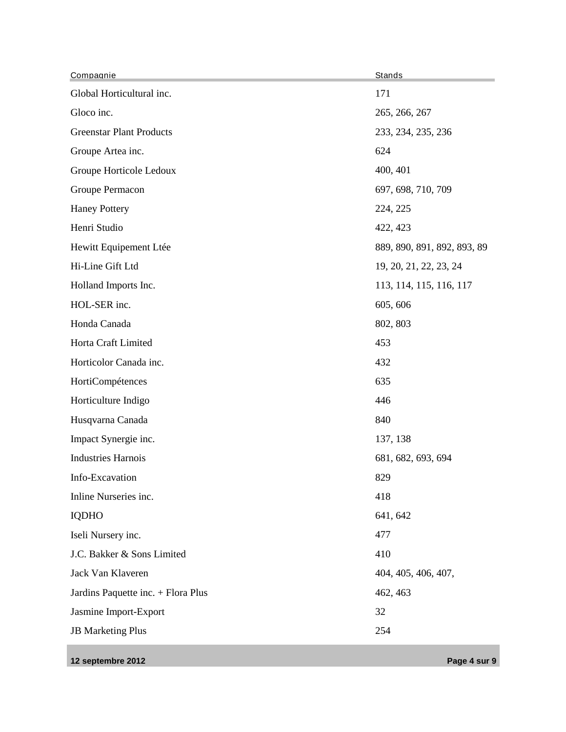| Compagnie                          | <b>Stands</b>               |
|------------------------------------|-----------------------------|
| Global Horticultural inc.          | 171                         |
| Gloco inc.                         | 265, 266, 267               |
| <b>Greenstar Plant Products</b>    | 233, 234, 235, 236          |
| Groupe Artea inc.                  | 624                         |
| Groupe Horticole Ledoux            | 400, 401                    |
| Groupe Permacon                    | 697, 698, 710, 709          |
| <b>Haney Pottery</b>               | 224, 225                    |
| Henri Studio                       | 422, 423                    |
| Hewitt Equipement Ltée             | 889, 890, 891, 892, 893, 89 |
| Hi-Line Gift Ltd                   | 19, 20, 21, 22, 23, 24      |
| Holland Imports Inc.               | 113, 114, 115, 116, 117     |
| HOL-SER inc.                       | 605, 606                    |
| Honda Canada                       | 802, 803                    |
| Horta Craft Limited                | 453                         |
| Horticolor Canada inc.             | 432                         |
| HortiCompétences                   | 635                         |
| Horticulture Indigo                | 446                         |
| Husqvarna Canada                   | 840                         |
| Impact Synergie inc.               | 137, 138                    |
| <b>Industries Harnois</b>          | 681, 682, 693, 694          |
| Info-Excavation                    | 829                         |
| Inline Nurseries inc.              | 418                         |
| <b>IQDHO</b>                       | 641, 642                    |
| Iseli Nursery inc.                 | 477                         |
| J.C. Bakker & Sons Limited         | 410                         |
| Jack Van Klaveren                  | 404, 405, 406, 407,         |
| Jardins Paquette inc. + Flora Plus | 462, 463                    |
| Jasmine Import-Export              | 32                          |
| <b>JB Marketing Plus</b>           | 254                         |
|                                    |                             |

**12 septembre 2012 Page 4 sur 9**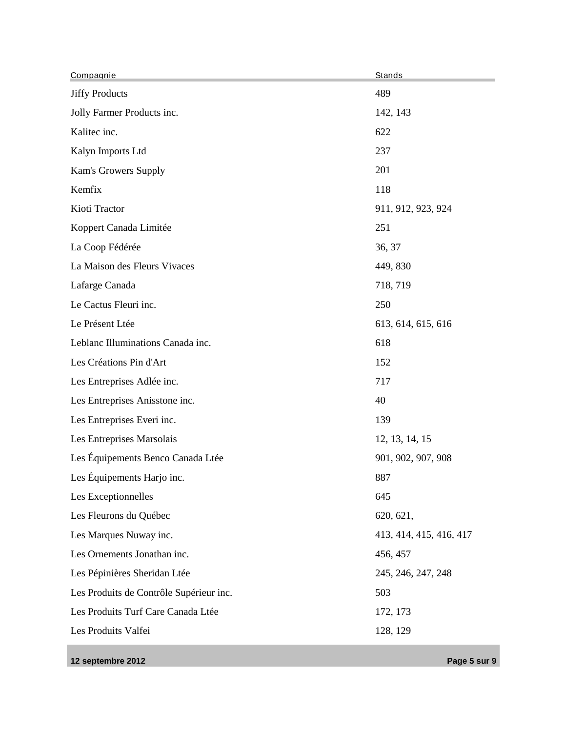| Compagnie                               | Stands                  |
|-----------------------------------------|-------------------------|
| <b>Jiffy Products</b>                   | 489                     |
| Jolly Farmer Products inc.              | 142, 143                |
| Kalitec inc.                            | 622                     |
| Kalyn Imports Ltd                       | 237                     |
| Kam's Growers Supply                    | 201                     |
| Kemfix                                  | 118                     |
| Kioti Tractor                           | 911, 912, 923, 924      |
| Koppert Canada Limitée                  | 251                     |
| La Coop Fédérée                         | 36, 37                  |
| La Maison des Fleurs Vivaces            | 449, 830                |
| Lafarge Canada                          | 718, 719                |
| Le Cactus Fleuri inc.                   | 250                     |
| Le Présent Ltée                         | 613, 614, 615, 616      |
| Leblanc Illuminations Canada inc.       | 618                     |
| Les Créations Pin d'Art                 | 152                     |
| Les Entreprises Adlée inc.              | 717                     |
| Les Entreprises Anisstone inc.          | 40                      |
| Les Entreprises Everi inc.              | 139                     |
| Les Entreprises Marsolais               | 12, 13, 14, 15          |
| Les Équipements Benco Canada Ltée       | 901, 902, 907, 908      |
| Les Équipements Harjo inc.              | 887                     |
| Les Exceptionnelles                     | 645                     |
| Les Fleurons du Québec                  | 620, 621,               |
| Les Marques Nuway inc.                  | 413, 414, 415, 416, 417 |
| Les Ornements Jonathan inc.             | 456, 457                |
| Les Pépinières Sheridan Ltée            | 245, 246, 247, 248      |
| Les Produits de Contrôle Supérieur inc. | 503                     |
| Les Produits Turf Care Canada Ltée      | 172, 173                |
| Les Produits Valfei                     | 128, 129                |
|                                         |                         |

**12 septembre 2012 Page 5 sur 9**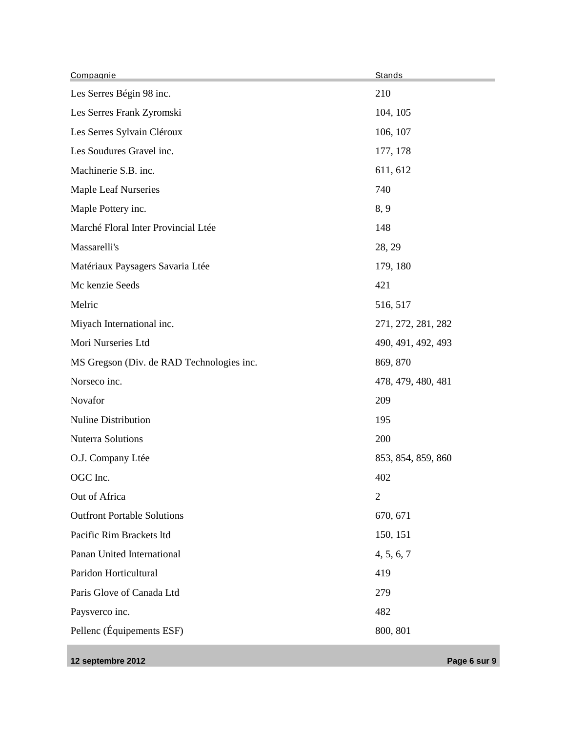| Compagnie                                 | Stands             |
|-------------------------------------------|--------------------|
| Les Serres Bégin 98 inc.                  | 210                |
| Les Serres Frank Zyromski                 | 104, 105           |
| Les Serres Sylvain Cléroux                | 106, 107           |
| Les Soudures Gravel inc.                  | 177, 178           |
| Machinerie S.B. inc.                      | 611, 612           |
| <b>Maple Leaf Nurseries</b>               | 740                |
| Maple Pottery inc.                        | 8, 9               |
| Marché Floral Inter Provincial Ltée       | 148                |
| Massarelli's                              | 28, 29             |
| Matériaux Paysagers Savaria Ltée          | 179, 180           |
| Mc kenzie Seeds                           | 421                |
| Melric                                    | 516, 517           |
| Miyach International inc.                 | 271, 272, 281, 282 |
| Mori Nurseries Ltd                        | 490, 491, 492, 493 |
| MS Gregson (Div. de RAD Technologies inc. | 869, 870           |
| Norseco inc.                              | 478, 479, 480, 481 |
| Novafor                                   | 209                |
| <b>Nuline Distribution</b>                | 195                |
| <b>Nuterra Solutions</b>                  | 200                |
| O.J. Company Ltée                         | 853, 854, 859, 860 |
| OGC Inc.                                  | 402                |
| Out of Africa                             | $\overline{2}$     |
| <b>Outfront Portable Solutions</b>        | 670, 671           |
| Pacific Rim Brackets ltd                  | 150, 151           |
| Panan United International                | 4, 5, 6, 7         |
| Paridon Horticultural                     | 419                |
| Paris Glove of Canada Ltd                 | 279                |
| Paysverco inc.                            | 482                |
| Pellenc (Équipements ESF)                 | 800, 801           |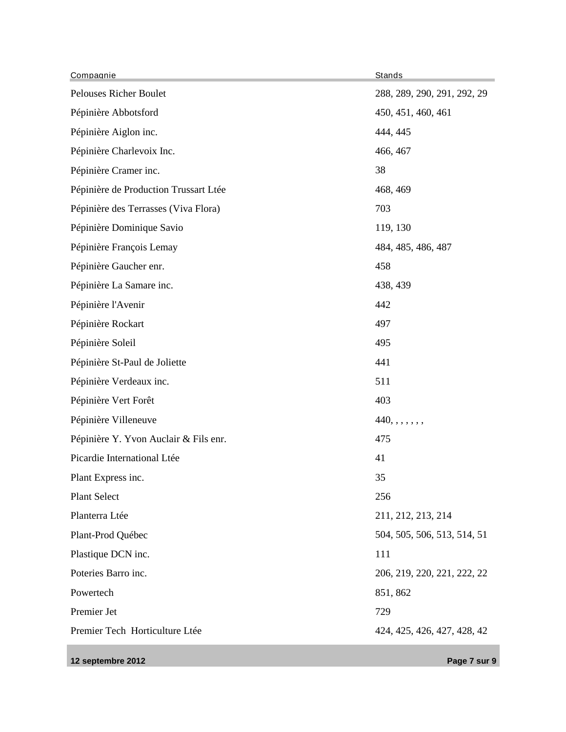| Compagnie                             | Stands                      |
|---------------------------------------|-----------------------------|
| Pelouses Richer Boulet                | 288, 289, 290, 291, 292, 29 |
| Pépinière Abbotsford                  | 450, 451, 460, 461          |
| Pépinière Aiglon inc.                 | 444, 445                    |
| Pépinière Charlevoix Inc.             | 466, 467                    |
| Pépinière Cramer inc.                 | 38                          |
| Pépinière de Production Trussart Ltée | 468, 469                    |
| Pépinière des Terrasses (Viva Flora)  | 703                         |
| Pépinière Dominique Savio             | 119, 130                    |
| Pépinière François Lemay              | 484, 485, 486, 487          |
| Pépinière Gaucher enr.                | 458                         |
| Pépinière La Samare inc.              | 438, 439                    |
| Pépinière l'Avenir                    | 442                         |
| Pépinière Rockart                     | 497                         |
| Pépinière Soleil                      | 495                         |
| Pépinière St-Paul de Joliette         | 441                         |
| Pépinière Verdeaux inc.               | 511                         |
| Pépinière Vert Forêt                  | 403                         |
| Pépinière Villeneuve                  | 440, , , , , , ,            |
| Pépinière Y. Yvon Auclair & Fils enr. | 475                         |
| Picardie International Ltée           | 41                          |
| Plant Express inc.                    | 35                          |
| <b>Plant Select</b>                   | 256                         |
| Planterra Ltée                        | 211, 212, 213, 214          |
| Plant-Prod Québec                     | 504, 505, 506, 513, 514, 51 |
| Plastique DCN inc.                    | 111                         |
| Poteries Barro inc.                   | 206, 219, 220, 221, 222, 22 |
| Powertech                             | 851, 862                    |
| Premier Jet                           | 729                         |
| Premier Tech Horticulture Ltée        | 424, 425, 426, 427, 428, 42 |

**12 septembre 2012 Page 7 sur 9**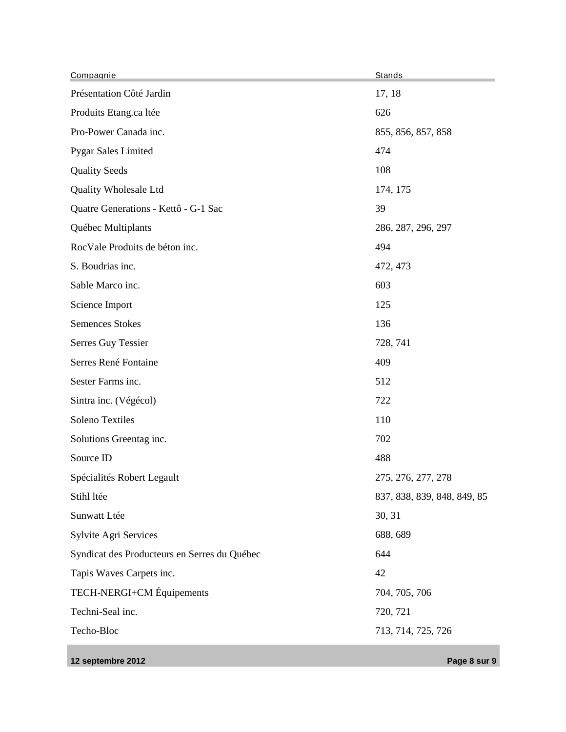| Compagnie                                    | Stands                      |
|----------------------------------------------|-----------------------------|
| Présentation Côté Jardin                     | 17, 18                      |
| Produits Etang.ca ltée                       | 626                         |
| Pro-Power Canada inc.                        | 855, 856, 857, 858          |
| <b>Pygar Sales Limited</b>                   | 474                         |
| <b>Quality Seeds</b>                         | 108                         |
| Quality Wholesale Ltd                        | 174, 175                    |
| Quatre Generations - Kettô - G-1 Sac         | 39                          |
| Québec Multiplants                           | 286, 287, 296, 297          |
| RocVale Produits de béton inc.               | 494                         |
| S. Boudrias inc.                             | 472, 473                    |
| Sable Marco inc.                             | 603                         |
| Science Import                               | 125                         |
| <b>Semences Stokes</b>                       | 136                         |
| Serres Guy Tessier                           | 728, 741                    |
| Serres René Fontaine                         | 409                         |
| Sester Farms inc.                            | 512                         |
| Sintra inc. (Végécol)                        | 722                         |
| Soleno Textiles                              | 110                         |
| Solutions Greentag inc.                      | 702                         |
| Source ID                                    | 488                         |
| Spécialités Robert Legault                   | 275, 276, 277, 278          |
| Stihl ltée                                   | 837, 838, 839, 848, 849, 85 |
| Sunwatt Ltée                                 | 30, 31                      |
| Sylvite Agri Services                        | 688, 689                    |
| Syndicat des Producteurs en Serres du Québec | 644                         |
| Tapis Waves Carpets inc.                     | 42                          |
| TECH-NERGI+CM Équipements                    | 704, 705, 706               |
| Techni-Seal inc.                             | 720, 721                    |
| Techo-Bloc                                   | 713, 714, 725, 726          |

**12 septembre 2012 Page 8 sur 9**